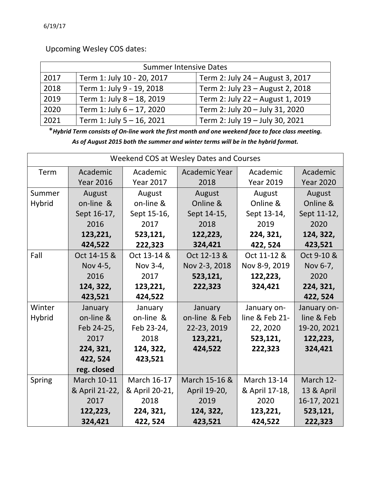Upcoming Wesley COS dates:

| <b>Summer Intensive Dates</b> |                            |                                  |  |  |  |  |
|-------------------------------|----------------------------|----------------------------------|--|--|--|--|
| 2017                          | Term 1: July 10 - 20, 2017 | Term 2: July 24 - August 3, 2017 |  |  |  |  |
| 2018                          | Term 1: July 9 - 19, 2018  | Term 2: July 23 - August 2, 2018 |  |  |  |  |
| 2019                          | Term 1: July 8 - 18, 2019  | Term 2: July 22 - August 1, 2019 |  |  |  |  |
| 2020                          | Term 1: July 6 - 17, 2020  | Term 2: July 20 - July 31, 2020  |  |  |  |  |
| 2021                          | Term 1: July 5 - 16, 2021  | Term 2: July 19 - July 30, 2021  |  |  |  |  |

\*Hybrid Term consists of On-line work the first month and one weekend face to face class meeting. *As of August 2015 both the summer and winter terms will be in the hybrid format.*

| Weekend COS at Wesley Dates and Courses |                    |                    |                      |                    |                  |  |
|-----------------------------------------|--------------------|--------------------|----------------------|--------------------|------------------|--|
| Term                                    | Academic           | Academic           | <b>Academic Year</b> | Academic           | Academic         |  |
|                                         | <b>Year 2016</b>   | <b>Year 2017</b>   | 2018                 | <b>Year 2019</b>   | <b>Year 2020</b> |  |
| Summer                                  | August             | August             | August               | August             | August           |  |
| Hybrid                                  | on-line &          | on-line &          | Online &             | Online &           | Online &         |  |
|                                         | Sept 16-17,        | Sept 15-16,        | Sept 14-15,          | Sept 13-14,        | Sept 11-12,      |  |
|                                         | 2016               | 2017               | 2018                 | 2019               | 2020             |  |
|                                         | 123,221,           | 523,121,           | 122,223,             | 224, 321,          | 124, 322,        |  |
|                                         | 424,522            | 222,323            | 324,421              | 422, 524           | 423,521          |  |
| Fall                                    | Oct 14-15 &        | Oct 13-14 &        | Oct 12-13 &          | Oct 11-12 &        | Oct 9-10 &       |  |
|                                         | Nov 4-5,           | Nov 3-4,           | Nov 2-3, 2018        | Nov 8-9, 2019      | Nov 6-7,         |  |
|                                         | 2016               | 2017               | 523,121,             | 122,223,           | 2020             |  |
|                                         | 124, 322,          | 123,221,           | 222,323              | 324,421            | 224, 321,        |  |
|                                         | 423,521            | 424,522            |                      |                    | 422, 524         |  |
| Winter                                  | January            | January            | January              | January on-        | January on-      |  |
| <b>Hybrid</b>                           | on-line &          | on-line &          | on-line & Feb        | line & Feb 21-     | line & Feb       |  |
|                                         | Feb 24-25,         | Feb 23-24,         | 22-23, 2019          | 22, 2020           | 19-20, 2021      |  |
|                                         | 2017               | 2018               | 123,221,             | 523,121,           | 122,223,         |  |
|                                         | 224, 321,          | 124, 322,          | 424,522              | 222,323            | 324,421          |  |
|                                         | 422, 524           | 423,521            |                      |                    |                  |  |
|                                         | reg. closed        |                    |                      |                    |                  |  |
| Spring                                  | <b>March 10-11</b> | <b>March 16-17</b> | March 15-16 &        | <b>March 13-14</b> | March 12-        |  |
|                                         | & April 21-22,     | & April 20-21,     | April 19-20,         | & April 17-18,     | 13 & April       |  |
|                                         | 2017               | 2018               | 2019                 | 2020               | 16-17, 2021      |  |
|                                         | 122,223,           | 224, 321,          | 124, 322,            | 123,221,           | 523,121,         |  |
|                                         | 324,421            | 422, 524           | 423,521              | 424,522            | 222,323          |  |